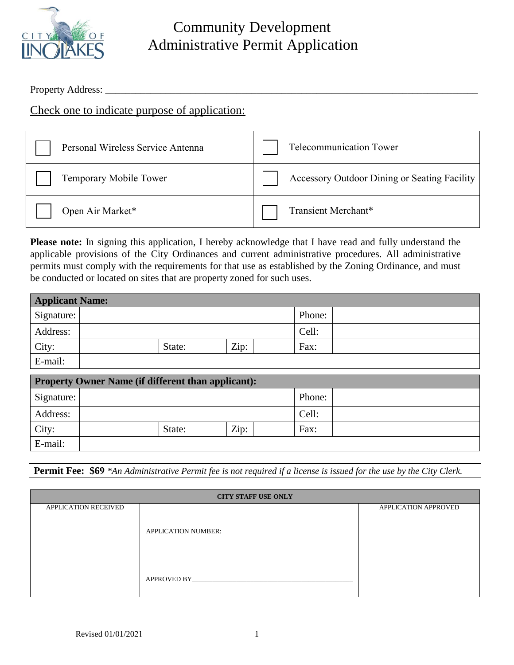

## Community Development Administrative Permit Application

Property Address: \_\_\_\_\_\_\_\_\_\_\_\_\_\_\_\_\_\_\_\_\_\_\_\_\_\_\_\_\_\_\_\_\_\_\_\_\_\_\_\_\_\_\_\_\_\_\_\_\_\_\_\_\_\_\_\_\_\_\_\_\_\_\_\_\_\_\_\_\_\_\_\_\_\_

Check one to indicate purpose of application:

| Personal Wireless Service Antenna | Telecommunication Tower                      |
|-----------------------------------|----------------------------------------------|
| Temporary Mobile Tower            | Accessory Outdoor Dining or Seating Facility |
| Open Air Market*                  | Transient Merchant*                          |

**Please note:** In signing this application, I hereby acknowledge that I have read and fully understand the applicable provisions of the City Ordinances and current administrative procedures. All administrative permits must comply with the requirements for that use as established by the Zoning Ordinance, and must be conducted or located on sites that are property zoned for such uses.

| <b>Applicant Name:</b> |        |      |        |  |  |  |
|------------------------|--------|------|--------|--|--|--|
| Signature:             |        |      | Phone: |  |  |  |
| Address:               |        |      | Cell:  |  |  |  |
| City:                  | State: | Zip: | Fax:   |  |  |  |
| E-mail:                |        |      |        |  |  |  |

| <b>Property Owner Name (if different than applicant):</b> |        |      |  |        |  |  |  |
|-----------------------------------------------------------|--------|------|--|--------|--|--|--|
| Signature:                                                |        |      |  | Phone: |  |  |  |
| Address:                                                  |        |      |  | Cell:  |  |  |  |
| City:                                                     | State: | Zip: |  | Fax:   |  |  |  |
| E-mail:                                                   |        |      |  |        |  |  |  |

**Permit Fee: \$69** *\*An Administrative Permit fee is not required if a license is issued for the use by the City Clerk.*

| <b>CITY STAFF USE ONLY</b>  |             |                             |  |  |  |
|-----------------------------|-------------|-----------------------------|--|--|--|
| <b>APPLICATION RECEIVED</b> |             | <b>APPLICATION APPROVED</b> |  |  |  |
|                             |             |                             |  |  |  |
|                             |             |                             |  |  |  |
|                             |             |                             |  |  |  |
|                             |             |                             |  |  |  |
|                             |             |                             |  |  |  |
|                             |             |                             |  |  |  |
|                             | APPROVED BY |                             |  |  |  |
|                             |             |                             |  |  |  |